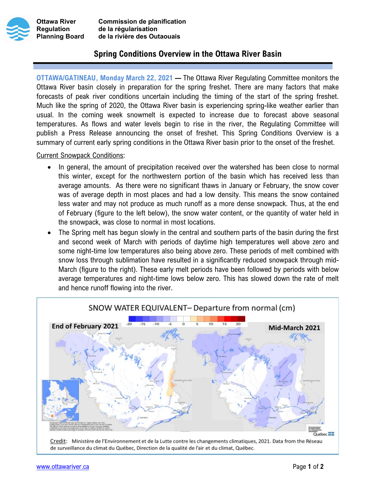



Ottawa River Commission de planification Regulation de la régularisation Planning Board de la rivière des Outaouais

## Spring Conditions Overview in the Ottawa River Basin

OTTAWA/GATINEAU, Monday March 22, 2021 — The Ottawa River Regulating Committee monitors the Ottawa River basin closely in preparation for the spring freshet. There are many factors that make forecasts of peak river conditions uncertain including the timing of the start of the spring freshet. Much like the spring of 2020, the Ottawa River basin is experiencing spring-like weather earlier than usual. In the coming week snowmelt is expected to increase due to forecast above seasonal temperatures. As flows and water levels begin to rise in the river, the Regulating Committee will publish a Press Release announcing the onset of freshet. This Spring Conditions Overview is a summary of current early spring conditions in the Ottawa River basin prior to the onset of the freshet.

Current Snowpack Conditions:

- In general, the amount of precipitation received over the watershed has been close to normal this winter, except for the northwestern portion of the basin which has received less than average amounts. As there were no significant thaws in January or February, the snow cover was of average depth in most places and had a low density. This means the snow contained less water and may not produce as much runoff as a more dense snowpack. Thus, at the end of February (figure to the left below), the snow water content, or the quantity of water held in the snowpack, was close to normal in most locations.
- The Spring melt has begun slowly in the central and southern parts of the basin during the first and second week of March with periods of daytime high temperatures well above zero and some night-time low temperatures also being above zero. These periods of melt combined with snow loss through sublimation have resulted in a significantly reduced snowpack through mid-March (figure to the right). These early melt periods have been followed by periods with below average temperatures and night-time lows below zero. This has slowed down the rate of melt and hence runoff flowing into the river.



Credit: Ministère de l'Environnement et de la Lutte contre les changements climatiques, 2021. Data from the Réseau de surveillance du climat du Québec, Direction de la qualité de l'air et du climat, Québec.